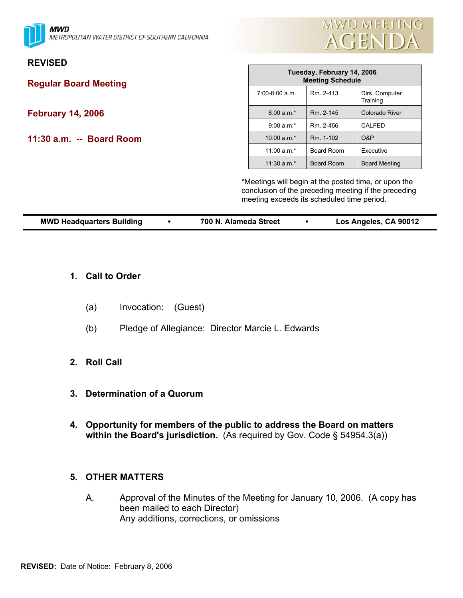**MWD** METROPOLITAN WATER DISTRICT OF SOUTHERN CALIFORNIA



## **REVISED**

**Regular Board Meeting** 

# **February 14, 2006**

**11:30 a.m. -- Board Room** 

| Tuesday, February 14, 2006<br><b>Meeting Schedule</b> |                   |                            |  |  |
|-------------------------------------------------------|-------------------|----------------------------|--|--|
| $7:00-8:00$ a.m.                                      | Rm. 2-413         | Dirs. Computer<br>Training |  |  |
| $8:00 a.m.*$                                          | Rm. 2-145         | <b>Colorado River</b>      |  |  |
| $9:00 a.m.*$                                          | Rm. 2-456         | CALFED                     |  |  |
| $10:00$ a.m.*                                         | Rm. 1-102         | O&P                        |  |  |
| 11:00 $a.m.*$                                         | <b>Board Room</b> | Executive                  |  |  |
| $11:30$ a.m.*                                         | <b>Board Room</b> | <b>Board Meeting</b>       |  |  |

\*Meetings will begin at the posted time, or upon the conclusion of the preceding meeting if the preceding meeting exceeds its scheduled time period.

| Los Angeles, CA 90012<br><b>MWD Headquarters Building</b><br>700 N. Alameda Street |  |  |
|------------------------------------------------------------------------------------|--|--|
|------------------------------------------------------------------------------------|--|--|

#### **1. Call to Order**

- (a) Invocation: (Guest)
- (b) Pledge of Allegiance: Director Marcie L. Edwards

### **2. Roll Call**

- **3. Determination of a Quorum**
- **4. Opportunity for members of the public to address the Board on matters within the Board's jurisdiction.** (As required by Gov. Code § 54954.3(a))

#### **5. OTHER MATTERS**

A. Approval of the Minutes of the Meeting for January 10, 2006. (A copy has been mailed to each Director) Any additions, corrections, or omissions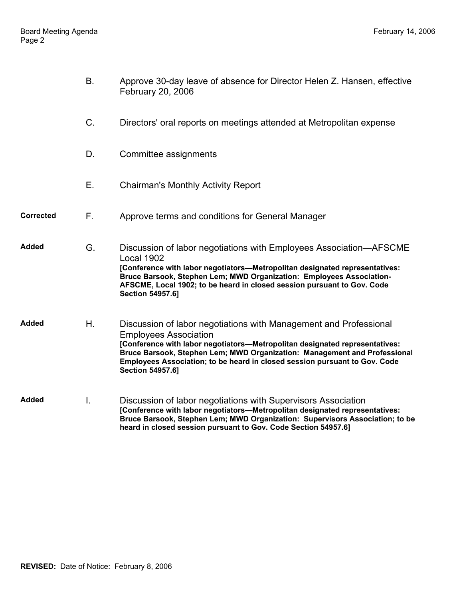|                  | Β.          | Approve 30-day leave of absence for Director Helen Z. Hansen, effective<br>February 20, 2006                                                                                                                                                                                                                                                                           |
|------------------|-------------|------------------------------------------------------------------------------------------------------------------------------------------------------------------------------------------------------------------------------------------------------------------------------------------------------------------------------------------------------------------------|
|                  | $C_{\cdot}$ | Directors' oral reports on meetings attended at Metropolitan expense                                                                                                                                                                                                                                                                                                   |
|                  | D.          | Committee assignments                                                                                                                                                                                                                                                                                                                                                  |
|                  | Ε.          | <b>Chairman's Monthly Activity Report</b>                                                                                                                                                                                                                                                                                                                              |
| <b>Corrected</b> | F.          | Approve terms and conditions for General Manager                                                                                                                                                                                                                                                                                                                       |
| Added            | G.          | Discussion of labor negotiations with Employees Association-AFSCME<br>Local 1902<br>[Conference with labor negotiators-Metropolitan designated representatives:<br>Bruce Barsook, Stephen Lem; MWD Organization: Employees Association-<br>AFSCME, Local 1902; to be heard in closed session pursuant to Gov. Code<br><b>Section 54957.6]</b>                          |
| Added            | Η.          | Discussion of labor negotiations with Management and Professional<br><b>Employees Association</b><br>[Conference with labor negotiators-Metropolitan designated representatives:<br>Bruce Barsook, Stephen Lem; MWD Organization: Management and Professional<br>Employees Association; to be heard in closed session pursuant to Gov. Code<br><b>Section 54957.6]</b> |
| Added            | Ι.          | Discussion of labor negotiations with Supervisors Association<br>[Conference with labor negotiators-Metropolitan designated representatives:<br>Bruce Barsook, Stephen Lem; MWD Organization: Supervisors Association; to be<br>heard in closed session pursuant to Gov. Code Section 54957.6]                                                                         |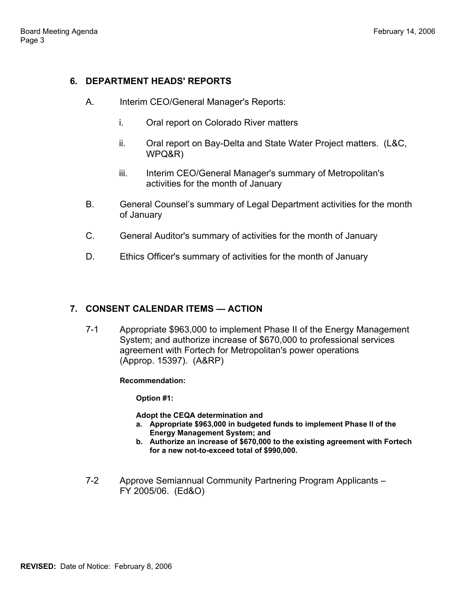### **6. DEPARTMENT HEADS' REPORTS**

- A. Interim CEO/General Manager's Reports:
	- i. Oral report on Colorado River matters
	- ii. Oral report on Bay-Delta and State Water Project matters. (L&C, WPQ&R)
	- iii. Interim CEO/General Manager's summary of Metropolitan's activities for the month of January
- B. General Counsel's summary of Legal Department activities for the month of January
- C. General Auditor's summary of activities for the month of January
- D. Ethics Officer's summary of activities for the month of January

### **7. CONSENT CALENDAR ITEMS — ACTION**

7-1 Appropriate \$963,000 to implement Phase II of the Energy Management System; and authorize increase of \$670,000 to professional services agreement with Fortech for Metropolitan's power operations (Approp. 15397). (A&RP)

**Recommendation:** 

**Option #1:** 

**Adopt the CEQA determination and**

- **a. Appropriate \$963,000 in budgeted funds to implement Phase II of the Energy Management System; and**
- **b. Authorize an increase of \$670,000 to the existing agreement with Fortech for a new not-to-exceed total of \$990,000.**
- 7-2 Approve Semiannual Community Partnering Program Applicants FY 2005/06. (Ed&O)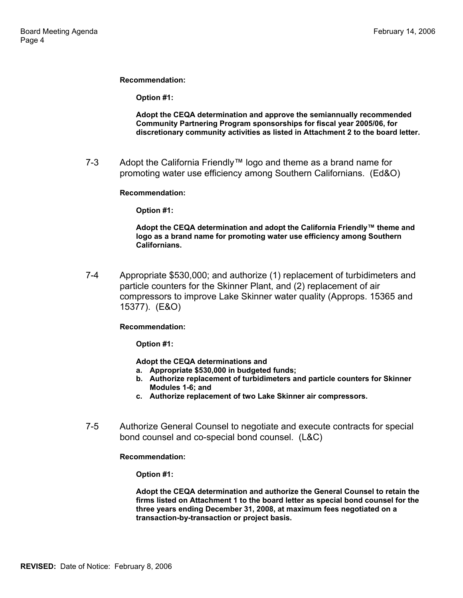**Recommendation:** 

**Option #1:** 

**Adopt the CEQA determination and approve the semiannually recommended Community Partnering Program sponsorships for fiscal year 2005/06, for discretionary community activities as listed in Attachment 2 to the board letter.** 

7-3 Adopt the California Friendly™ logo and theme as a brand name for promoting water use efficiency among Southern Californians. (Ed&O)

**Recommendation:** 

**Option #1:** 

**Adopt the CEQA determination and adopt the California Friendly™ theme and logo as a brand name for promoting water use efficiency among Southern Californians.**

7-4 Appropriate \$530,000; and authorize (1) replacement of turbidimeters and particle counters for the Skinner Plant, and (2) replacement of air compressors to improve Lake Skinner water quality (Approps. 15365 and 15377). (E&O)

**Recommendation:** 

**Option #1:** 

**Adopt the CEQA determinations and**

- **a. Appropriate \$530,000 in budgeted funds;**
- **b. Authorize replacement of turbidimeters and particle counters for Skinner Modules 1-6; and**
- **c. Authorize replacement of two Lake Skinner air compressors.**
- 7-5 Authorize General Counsel to negotiate and execute contracts for special bond counsel and co-special bond counsel. (L&C)

**Recommendation:** 

**Option #1:** 

**Adopt the CEQA determination and authorize the General Counsel to retain the firms listed on Attachment 1 to the board letter as special bond counsel for the three years ending December 31, 2008, at maximum fees negotiated on a transaction-by-transaction or project basis.**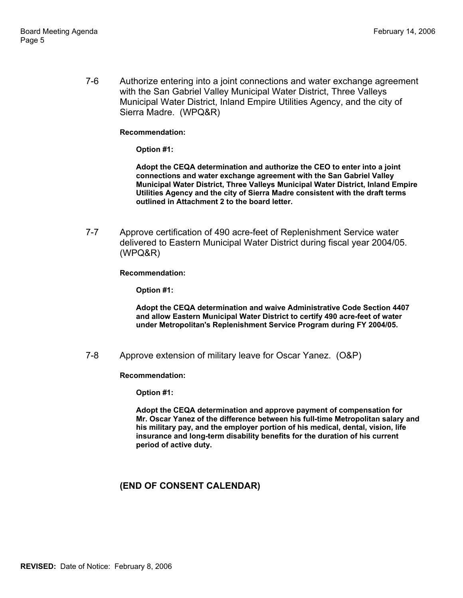7-6 Authorize entering into a joint connections and water exchange agreement with the San Gabriel Valley Municipal Water District, Three Valleys Municipal Water District, Inland Empire Utilities Agency, and the city of Sierra Madre. (WPQ&R)

#### **Recommendation:**

**Option #1:** 

**Adopt the CEQA determination and authorize the CEO to enter into a joint connections and water exchange agreement with the San Gabriel Valley Municipal Water District, Three Valleys Municipal Water District, Inland Empire Utilities Agency and the city of Sierra Madre consistent with the draft terms outlined in Attachment 2 to the board letter.** 

7-7 Approve certification of 490 acre-feet of Replenishment Service water delivered to Eastern Municipal Water District during fiscal year 2004/05. (WPQ&R)

**Recommendation:** 

**Option #1:** 

**Adopt the CEQA determination and waive Administrative Code Section 4407 and allow Eastern Municipal Water District to certify 490 acre-feet of water under Metropolitan's Replenishment Service Program during FY 2004/05.** 

7-8 Approve extension of military leave for Oscar Yanez. (O&P)

**Recommendation:** 

**Option #1:** 

**Adopt the CEQA determination and approve payment of compensation for Mr. Oscar Yanez of the difference between his full-time Metropolitan salary and his military pay, and the employer portion of his medical, dental, vision, life insurance and long-term disability benefits for the duration of his current period of active duty.**

#### **(END OF CONSENT CALENDAR)**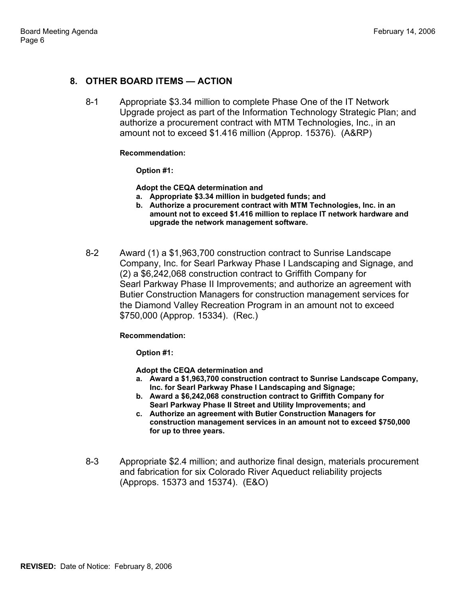### **8. OTHER BOARD ITEMS — ACTION**

8-1 Appropriate \$3.34 million to complete Phase One of the IT Network Upgrade project as part of the Information Technology Strategic Plan; and authorize a procurement contract with MTM Technologies, Inc., in an amount not to exceed \$1.416 million (Approp. 15376). (A&RP)

#### **Recommendation:**

**Option #1:** 

**Adopt the CEQA determination and**

- **a. Appropriate \$3.34 million in budgeted funds; and**
- **b. Authorize a procurement contract with MTM Technologies, Inc. in an amount not to exceed \$1.416 million to replace IT network hardware and upgrade the network management software.**
- 8-2 Award (1) a \$1,963,700 construction contract to Sunrise Landscape Company, Inc. for Searl Parkway Phase I Landscaping and Signage, and (2) a \$6,242,068 construction contract to Griffith Company for Searl Parkway Phase II Improvements; and authorize an agreement with Butier Construction Managers for construction management services for the Diamond Valley Recreation Program in an amount not to exceed \$750,000 (Approp. 15334). (Rec.)

#### **Recommendation:**

**Option #1:** 

**Adopt the CEQA determination and**

- **a. Award a \$1,963,700 construction contract to Sunrise Landscape Company, Inc. for Searl Parkway Phase I Landscaping and Signage;**
- **b. Award a \$6,242,068 construction contract to Griffith Company for Searl Parkway Phase II Street and Utility Improvements; and**
- **c. Authorize an agreement with Butier Construction Managers for construction management services in an amount not to exceed \$750,000 for up to three years.**
- 8-3 Appropriate \$2.4 million; and authorize final design, materials procurement and fabrication for six Colorado River Aqueduct reliability projects (Approps. 15373 and 15374). (E&O)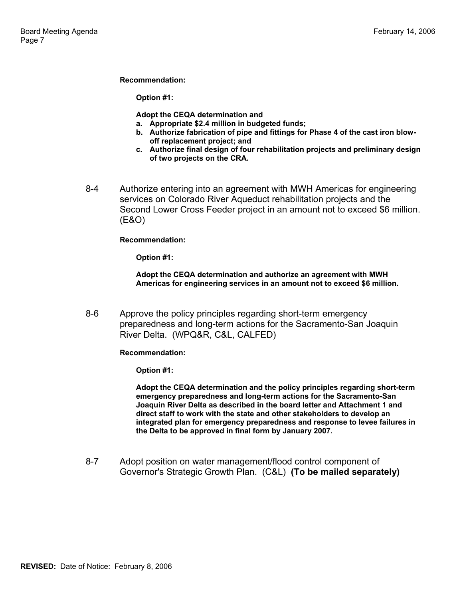#### **Recommendation:**

**Option #1:** 

**Adopt the CEQA determination and**

- **a. Appropriate \$2.4 million in budgeted funds;**
- **b. Authorize fabrication of pipe and fittings for Phase 4 of the cast iron blowoff replacement project; and**
- **c. Authorize final design of four rehabilitation projects and preliminary design of two projects on the CRA.**
- 8-4 Authorize entering into an agreement with MWH Americas for engineering services on Colorado River Aqueduct rehabilitation projects and the Second Lower Cross Feeder project in an amount not to exceed \$6 million. (E&O)

**Recommendation:** 

**Option #1:** 

**Adopt the CEQA determination and authorize an agreement with MWH Americas for engineering services in an amount not to exceed \$6 million.** 

8-6 Approve the policy principles regarding short-term emergency preparedness and long-term actions for the Sacramento-San Joaquin River Delta. (WPQ&R, C&L, CALFED)

**Recommendation:** 

**Option #1:** 

**Adopt the CEQA determination and the policy principles regarding short-term emergency preparedness and long-term actions for the Sacramento-San Joaquin River Delta as described in the board letter and Attachment 1 and direct staff to work with the state and other stakeholders to develop an integrated plan for emergency preparedness and response to levee failures in the Delta to be approved in final form by January 2007.** 

8-7 Adopt position on water management/flood control component of Governor's Strategic Growth Plan. (C&L) **(To be mailed separately)**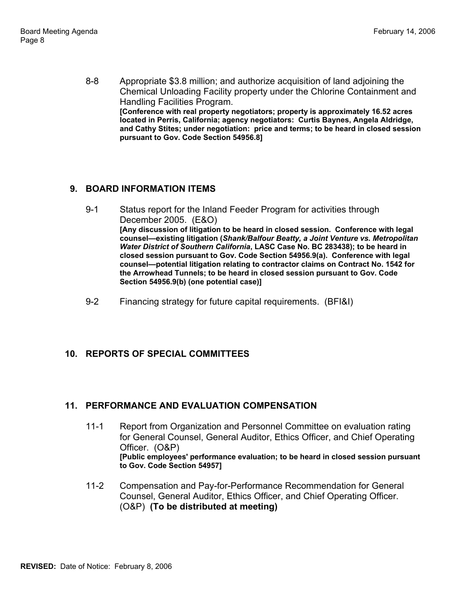8-8 Appropriate \$3.8 million; and authorize acquisition of land adjoining the Chemical Unloading Facility property under the Chlorine Containment and Handling Facilities Program. **[Conference with real property negotiators; property is approximately 16.52 acres located in Perris, California; agency negotiators: Curtis Baynes, Angela Aldridge, and Cathy Stites; under negotiation: price and terms; to be heard in closed session pursuant to Gov. Code Section 54956.8]** 

# **9. BOARD INFORMATION ITEMS**

- 9-1 Status report for the Inland Feeder Program for activities through December 2005. (E&O) **[Any discussion of litigation to be heard in closed session. Conference with legal counsel—existing litigation (***Shank/Balfour Beatty, a Joint Venture vs. Metropolitan Water District of Southern California***, LASC Case No. BC 283438); to be heard in closed session pursuant to Gov. Code Section 54956.9(a). Conference with legal counsel—potential litigation relating to contractor claims on Contract No. 1542 for the Arrowhead Tunnels; to be heard in closed session pursuant to Gov. Code Section 54956.9(b) (one potential case)]**
- 9-2 Financing strategy for future capital requirements. (BFI&I)

### **10. REPORTS OF SPECIAL COMMITTEES**

### **11. PERFORMANCE AND EVALUATION COMPENSATION**

- 11-1 Report from Organization and Personnel Committee on evaluation rating for General Counsel, General Auditor, Ethics Officer, and Chief Operating Officer. (O&P) **[Public employees' performance evaluation; to be heard in closed session pursuant to Gov. Code Section 54957]**
- 11-2 Compensation and Pay-for-Performance Recommendation for General Counsel, General Auditor, Ethics Officer, and Chief Operating Officer. (O&P) **(To be distributed at meeting)**